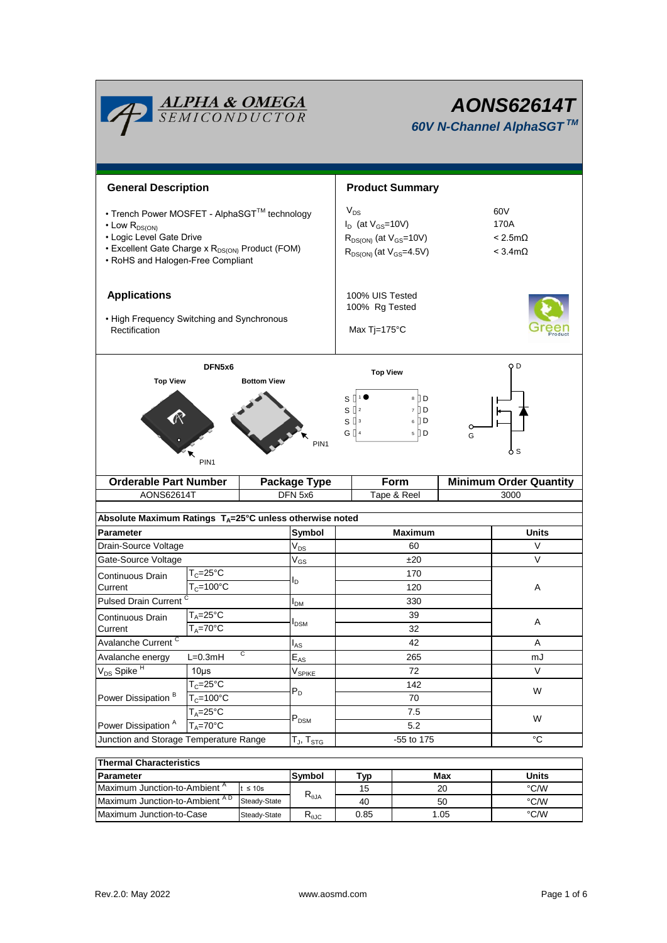| <b>ALPHA &amp; OMEGA</b><br>SEMICONDUCTOR                                                                                                                                                                |                                                                               |                                                                                                             |                                                         |                                                   | <b>AONS62614T</b><br>60V N-Channel AlphaSGT™ |              |                               |  |  |
|----------------------------------------------------------------------------------------------------------------------------------------------------------------------------------------------------------|-------------------------------------------------------------------------------|-------------------------------------------------------------------------------------------------------------|---------------------------------------------------------|---------------------------------------------------|----------------------------------------------|--------------|-------------------------------|--|--|
| <b>General Description</b>                                                                                                                                                                               |                                                                               |                                                                                                             |                                                         |                                                   | <b>Product Summary</b>                       |              |                               |  |  |
| • Trench Power MOSFET - AlphaSGT™ technology<br>$\cdot$ Low $R_{DS(ON)}$<br>• Logic Level Gate Drive<br>• Excellent Gate Charge x R <sub>DS(ON)</sub> Product (FOM)<br>• RoHS and Halogen-Free Compliant |                                                                               | $V_{DS}$<br>$I_D$ (at $V_{GS}$ =10V)<br>$R_{DS(ON)}$ (at $V_{GS}$ =10V)<br>$R_{DS(ON)}$ (at $V_{GS}$ =4.5V) | 60V<br>170A<br>$< 2.5 \text{m}\Omega$<br>$< 3.4m\Omega$ |                                                   |                                              |              |                               |  |  |
| <b>Applications</b><br>• High Frequency Switching and Synchronous<br>Rectification                                                                                                                       |                                                                               |                                                                                                             |                                                         | 100% UIS Tested<br>100% Rg Tested<br>Max Tj=175°C |                                              |              |                               |  |  |
| DFN5x6<br><b>Top View</b><br><b>Bottom View</b>                                                                                                                                                          |                                                                               |                                                                                                             |                                                         | <b>Top View</b><br>8 D<br>s l                     |                                              |              | O D                           |  |  |
| PIN <sub>1</sub>                                                                                                                                                                                         |                                                                               |                                                                                                             | PIN <sub>1</sub>                                        | s [<br>sЦ<br>G []                                 | 7 D<br>$6$ $\Box$ D<br>5 D                   | G            | o s                           |  |  |
|                                                                                                                                                                                                          | <b>Orderable Part Number</b>                                                  |                                                                                                             | <b>Package Type</b>                                     |                                                   | <b>Form</b><br>Tape & Reel                   |              | <b>Minimum Order Quantity</b> |  |  |
| <b>AONS62614T</b>                                                                                                                                                                                        |                                                                               |                                                                                                             | DFN 5x6                                                 |                                                   |                                              |              | 3000                          |  |  |
| Absolute Maximum Ratings $T_A = 25^\circ \text{C}$ unless otherwise noted                                                                                                                                |                                                                               |                                                                                                             |                                                         |                                                   |                                              |              |                               |  |  |
| <b>Parameter</b>                                                                                                                                                                                         |                                                                               |                                                                                                             | Symbol                                                  | <b>Maximum</b>                                    |                                              |              | Units                         |  |  |
| Drain-Source Voltage                                                                                                                                                                                     |                                                                               |                                                                                                             | $V_{DS}$                                                |                                                   | 60                                           |              | V                             |  |  |
| Gate-Source Voltage                                                                                                                                                                                      |                                                                               |                                                                                                             | $\rm V_{GS}$                                            | ±20                                               |                                              |              | $\vee$                        |  |  |
| Continuous Drain                                                                                                                                                                                         | $\mathsf{T}_{\mathbb{C}}\texttt{=}25^\circ\mathsf{C}$<br>$T_c = 100^{\circ}C$ |                                                                                                             | l <sub>D</sub>                                          | 170                                               |                                              |              |                               |  |  |
| Current                                                                                                                                                                                                  |                                                                               |                                                                                                             |                                                         | 120                                               |                                              | A            |                               |  |  |
| Pulsed Drain Current <sup>C</sup>                                                                                                                                                                        |                                                                               |                                                                                                             | I <sub>DM</sub>                                         | 330                                               |                                              |              |                               |  |  |
| Continuous Drain                                                                                                                                                                                         | $T_A = 25^{\circ}C$<br>$T_A = 70$ °C                                          |                                                                                                             | $I_{DSM}$                                               |                                                   | 39<br>32                                     |              | A                             |  |  |
| Current                                                                                                                                                                                                  |                                                                               |                                                                                                             |                                                         |                                                   |                                              |              |                               |  |  |
| Avalanche Current <sup>C</sup>                                                                                                                                                                           |                                                                               |                                                                                                             | $I_{AS}$                                                | 42                                                |                                              |              | Α                             |  |  |
| C<br>Avalanche energy<br>$L=0.3mH$                                                                                                                                                                       |                                                                               | $\mathsf{E}_{\mathsf{AS}}$                                                                                  |                                                         | 265                                               |                                              | mJ           |                               |  |  |
| V <sub>DS</sub> Spike <sup>H</sup>                                                                                                                                                                       | $10\mu$ s                                                                     |                                                                                                             | V <sub>SPIKE</sub>                                      | 72                                                |                                              |              | V                             |  |  |
|                                                                                                                                                                                                          | $T_c = 25^{\circ}$ C<br>$T_c = 100^{\circ}$ C                                 |                                                                                                             | $P_D$                                                   | 142<br>70                                         |                                              |              | W                             |  |  |
| Power Dissipation <sup>B</sup>                                                                                                                                                                           |                                                                               |                                                                                                             |                                                         |                                                   |                                              |              |                               |  |  |
| $T_A = 25^\circ \text{C}$                                                                                                                                                                                |                                                                               | $P_{DSM}$                                                                                                   |                                                         | 7.5                                               |                                              |              | W                             |  |  |
| Power Dissipation <sup>A</sup><br>$T_A = 70$ °C<br>Junction and Storage Temperature Range                                                                                                                |                                                                               |                                                                                                             |                                                         | 5.2<br>-55 to 175                                 |                                              | °C           |                               |  |  |
|                                                                                                                                                                                                          |                                                                               |                                                                                                             | $T_J$ , $T_{STG}$                                       |                                                   |                                              |              |                               |  |  |
| <b>Thermal Characteristics</b>                                                                                                                                                                           |                                                                               |                                                                                                             |                                                         |                                                   |                                              |              |                               |  |  |
| <b>Parameter</b>                                                                                                                                                                                         |                                                                               | <b>Symbol</b>                                                                                               | Tvp                                                     |                                                   | Max                                          | <b>Units</b> |                               |  |  |

| THEITIM UNARCULISHUS                     |               |                |      |       |      |  |  |  |  |
|------------------------------------------|---------------|----------------|------|-------|------|--|--|--|--|
| Parameter                                | <b>Symbol</b> | Typ            | Max  | Units |      |  |  |  |  |
| Maximum Junction-to-Ambient <sup>"</sup> | $t \leq 10s$  |                |      | 20    | °C/W |  |  |  |  |
| Maximum Junction-to-Ambient AD           | Steady-State  | $R_{\theta$ JA | 40   | 50    | °C/W |  |  |  |  |
| Maximum Junction-to-Case                 | Steady-State  | ᅐፀJC           | 0.85 | 1.05  | °C/W |  |  |  |  |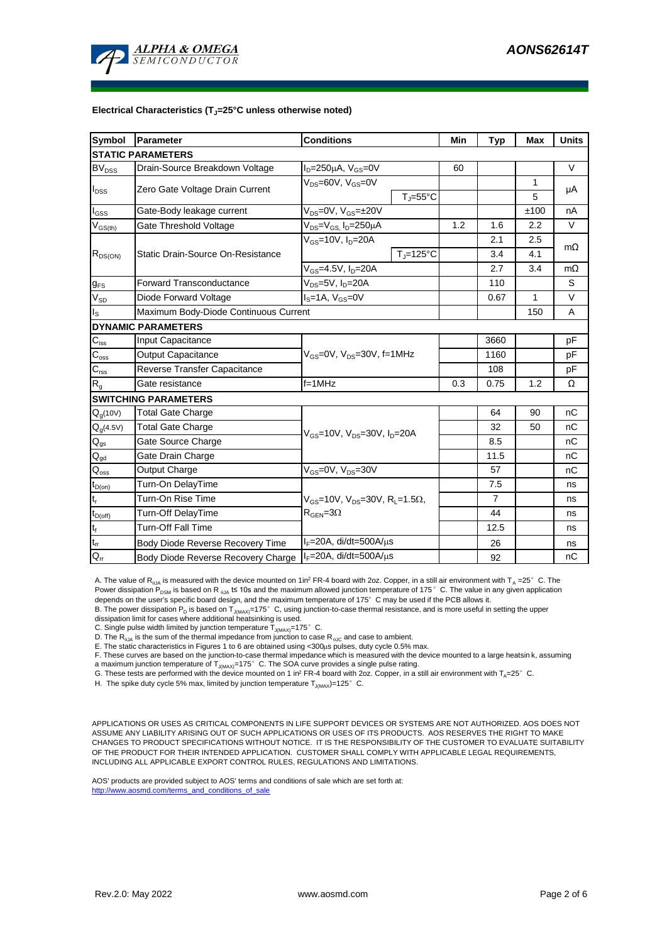

#### **Electrical Characteristics (TJ=25°C unless otherwise noted)**

| <b>Symbol</b>              | Parameter                                                         | <b>Conditions</b>                                                                          | Min                   | <b>Typ</b> | <b>Max</b>     | <b>Units</b> |           |  |  |
|----------------------------|-------------------------------------------------------------------|--------------------------------------------------------------------------------------------|-----------------------|------------|----------------|--------------|-----------|--|--|
| <b>STATIC PARAMETERS</b>   |                                                                   |                                                                                            |                       |            |                |              |           |  |  |
| <b>BV<sub>DSS</sub></b>    | Drain-Source Breakdown Voltage                                    | $I_D = 250 \mu A$ , $V_{GS} = 0V$                                                          |                       | 60         |                |              | $\vee$    |  |  |
| $I_{DSS}$                  | Zero Gate Voltage Drain Current                                   | $V_{DS}$ =60V, $V_{GS}$ =0V                                                                |                       |            |                | 1            |           |  |  |
|                            |                                                                   |                                                                                            | $T_{J} = 55^{\circ}C$ |            |                | 5            | μA        |  |  |
| $I_{GSS}$                  | Gate-Body leakage current                                         | $V_{DS} = 0V$ , $V_{GS} = \pm 20V$                                                         |                       |            |                | ±100         | nA        |  |  |
| $V_{GS(th)}$               | Gate Threshold Voltage                                            | $\overline{V_{DS}}$ = $V_{GS}$ , I <sub>D</sub> =250µA                                     |                       | 1.2        | 1.6            | 2.2          | $\vee$    |  |  |
| $R_{DS(ON)}$               | Static Drain-Source On-Resistance                                 | $V_{GS}$ =10V, $I_{D}$ =20A                                                                |                       |            | 2.1            | 2.5          | $m\Omega$ |  |  |
|                            |                                                                   |                                                                                            | $T_J = 125$ °C        |            | 3.4            | 4.1          |           |  |  |
|                            |                                                                   | $V_{GS} = 4.5V$ , $I_D = 20A$                                                              |                       |            | 2.7            | 3.4          | $m\Omega$ |  |  |
| $g_{FS}$                   | <b>Forward Transconductance</b>                                   | $V_{DS} = 5V$ , $I_D = 20A$                                                                |                       | 110        |                | S            |           |  |  |
| $V_{SD}$                   | Diode Forward Voltage                                             | $IS=1A, VGS=0V$                                                                            |                       | 0.67       | $\mathbf{1}$   | V            |           |  |  |
| I <sub>s</sub>             | Maximum Body-Diode Continuous Current                             |                                                                                            |                       |            |                | 150          | A         |  |  |
|                            | <b>DYNAMIC PARAMETERS</b>                                         |                                                                                            |                       |            |                |              |           |  |  |
| $C_{iss}$                  | Input Capacitance                                                 |                                                                                            |                       | 3660       |                | pF           |           |  |  |
| $C_{\rm oss}$              | Output Capacitance                                                | V <sub>GS</sub> =0V, V <sub>DS</sub> =30V, f=1MHz                                          |                       |            | 1160           |              | pF        |  |  |
| $C_{\text{rss}}$           | Reverse Transfer Capacitance                                      |                                                                                            |                       | 108        |                | pF           |           |  |  |
| $\mathsf{R}_{\mathsf{g}}$  | Gate resistance                                                   | $f=1$ MHz                                                                                  |                       | 0.3        | 0.75           | 1.2          | Ω         |  |  |
|                            | <b>SWITCHING PARAMETERS</b>                                       |                                                                                            |                       |            |                |              |           |  |  |
| $Q_g(10V)$                 | <b>Total Gate Charge</b>                                          | $V_{GS}$ =10V, $V_{DS}$ =30V, $I_{D}$ =20A                                                 |                       |            | 64             | 90           | nC        |  |  |
| $Q_q(4.5V)$                | <b>Total Gate Charge</b>                                          |                                                                                            |                       |            | 32             | 50           | пC        |  |  |
| $\mathsf{Q}_{\mathsf{gs}}$ | Gate Source Charge                                                |                                                                                            |                       |            | 8.5            |              | nC        |  |  |
| $\mathsf{Q}_{\text{gd}}$   | Gate Drain Charge                                                 |                                                                                            |                       | 11.5       |                | пC           |           |  |  |
| $Q_{\text{oss}}$           | Output Charge                                                     | $V_{GS}$ =0V, $V_{DS}$ =30V                                                                |                       |            | 57             |              | nC        |  |  |
| $t_{D(on)}$                | Turn-On DelayTime                                                 | $V_{GS}$ =10V, $V_{DS}$ =30V, R <sub>1</sub> =1.5 $\Omega$ ,<br>$R_{\text{GEN}} = 3\Omega$ |                       |            | 7.5            |              | ns        |  |  |
| $t_r$                      | Turn-On Rise Time                                                 |                                                                                            |                       |            | $\overline{7}$ |              | ns        |  |  |
| $t_{D(off)}$               | Turn-Off DelayTime                                                |                                                                                            |                       |            | 44             |              | ns        |  |  |
| $t_f$                      | <b>Turn-Off Fall Time</b>                                         |                                                                                            |                       |            | 12.5           |              | ns        |  |  |
| $\mathsf{t}_\mathsf{rr}$   | Body Diode Reverse Recovery Time                                  | $I_F = 20A$ , di/dt=500A/ $\mu$ s                                                          |                       |            | 26             |              | ns        |  |  |
| $Q_{rr}$                   | $I_F = 20A$ , di/dt=500A/us<br>Body Diode Reverse Recovery Charge |                                                                                            |                       | 92         |                | nC           |           |  |  |

A. The value of R<sub>0JA</sub> is measured with the device mounted on 1in<sup>2</sup> FR-4 board with 2oz. Copper, in a still air environment with T<sub>A</sub> =25°C. The Power dissipation P<sub>DSM</sub> is based on R <sub>0JA</sub> t≤ 10s and the maximum allowed junction temperature of 175°C. The value in any given application depends on the user's specific board design, and the maximum temperature of 175°C may be used if the PCB allows it.

B. The power dissipation  $P_D$  is based on  $T_{J(MAX)}$ =175°C, using junction-to-case thermal resistance, and is more useful in setting the upper dissipation limit for cases where additional heatsinking is used.

C. Single pulse width limited by junction temperature  $\mathsf{T}_{\mathsf{J}(MAX)}$ =175°C.

D. The  $R_{qJA}$  is the sum of the thermal impedance from junction to case  $R_{qJC}$  and case to ambient.

E. The static characteristics in Figures 1 to 6 are obtained using <300µs pulses, duty cycle 0.5% max.<br>F. These curves are based on the junction-to-case thermal impedance which is measured with the device mounted to a larg

G. These tests are performed with the device mounted on 1 in<sup>2</sup> FR-4 board with 2oz. Copper, in a still air environment with T<sub>A</sub>=25°C.

H. The spike duty cycle 5% max, limited by junction temperature  $T_{J(MAX)}$ =125°C.

APPLICATIONS OR USES AS CRITICAL COMPONENTS IN LIFE SUPPORT DEVICES OR SYSTEMS ARE NOT AUTHORIZED. AOS DOES NOT ASSUME ANY LIABILITY ARISING OUT OF SUCH APPLICATIONS OR USES OF ITS PRODUCTS. AOS RESERVES THE RIGHT TO MAKE CHANGES TO PRODUCT SPECIFICATIONS WITHOUT NOTICE. IT IS THE RESPONSIBILITY OF THE CUSTOMER TO EVALUATE SUITABILITY OF THE PRODUCT FOR THEIR INTENDED APPLICATION. CUSTOMER SHALL COMPLY WITH APPLICABLE LEGAL REQUIREMENTS, INCLUDING ALL APPLICABLE EXPORT CONTROL RULES, REGULATIONS AND LIMITATIONS.

AOS' products are provided subject to AOS' terms and conditions of sale which are set forth at:<br>http://www.aosmd.com/terms and conditions of sale com/terms\_and\_conditions\_of\_sale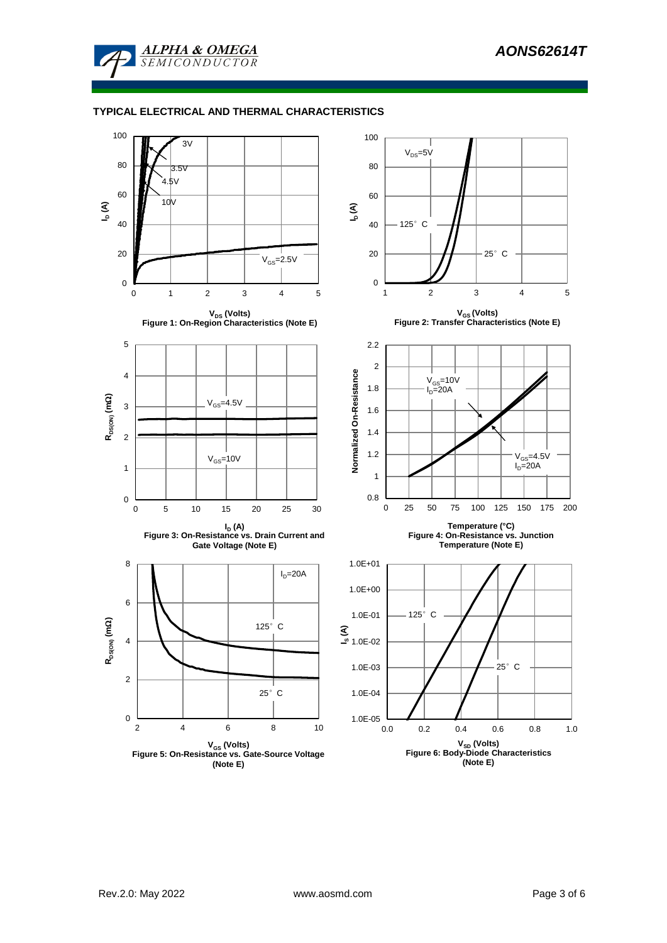

## **TYPICAL ELECTRICAL AND THERMAL CHARACTERISTICS**

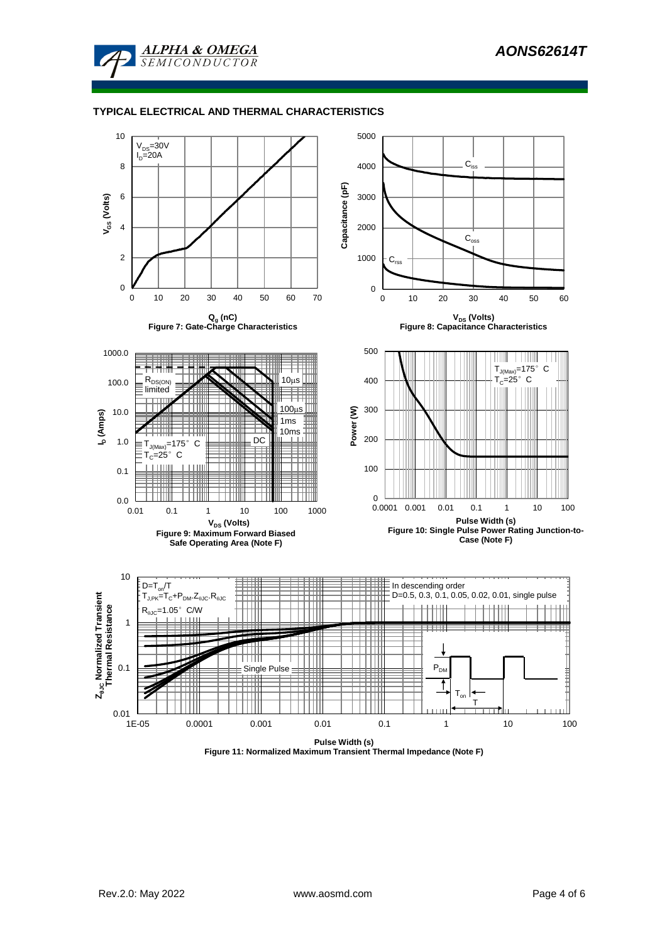

### **TYPICAL ELECTRICAL AND THERMAL CHARACTERISTICS**



**Figure 11: Normalized Maximum Transient Thermal Impedance (Note F)**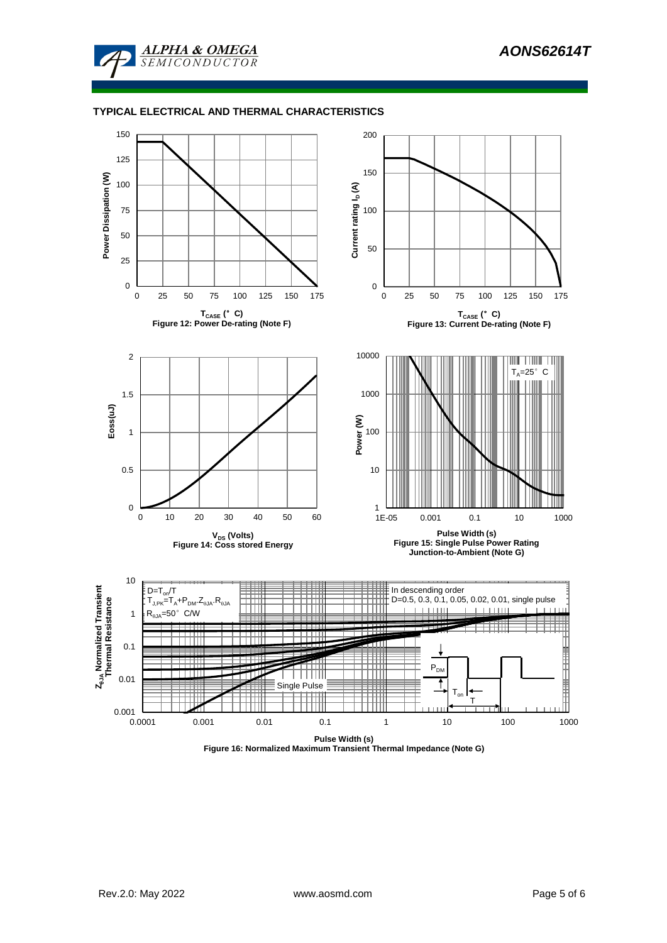

# **TYPICAL ELECTRICAL AND THERMAL CHARACTERISTICS**



**Figure 16: Normalized Maximum Transient Thermal Impedance (Note G)**